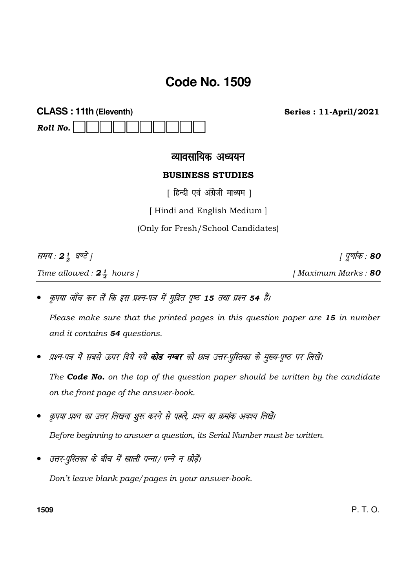# **Code No. 1509**

| <b>CLASS: 11th (Eleventh)</b> |  |  |  |  |  |  |  |  |  |  |
|-------------------------------|--|--|--|--|--|--|--|--|--|--|
| Roll No. $\ \ \ \ $           |  |  |  |  |  |  |  |  |  |  |

**Series: 11-April/2021** 

## व्यावसायिक अध्ययन

### **BUSINESS STUDIES**

[ हिन्दी एवं अंग्रेजी माध्यम ]

[Hindi and English Medium]

(Only for Fresh/School Candidates)

समय: 24 घण्टे ]

Time allowed:  $2\frac{1}{2}$  hours ]

*। पूर्णांक* : 80

[Maximum Marks: 80

कृपया जाँच कर लें कि इस प्रश्न-पत्र में मुद्रित पृष्ठ 15 तथा प्रश्न 54 हैं।

Please make sure that the printed pages in this question paper are 15 in number and it contains 54 questions.

प्रश्न-पत्र में सबसे ऊपर दिये गये **कोड नम्बर** को छात्र उत्तर-पुस्तिका के मुख्य-पृष्ठ पर लिखें।

The **Code No.** on the top of the question paper should be written by the candidate on the front page of the answer-book.

- कृपया प्रश्न का उत्तर लिखना शुरू करने से पहले, प्रश्न का क्रमांक अवश्य लिखें। Before beginning to answer a question, its Serial Number must be written.
- उत्तर-पुस्तिका के बीच में खाली पन्ना/ पन्ने न छोड़ें।

Don't leave blank page/pages in your answer-book.

1509

 $P. T. O.$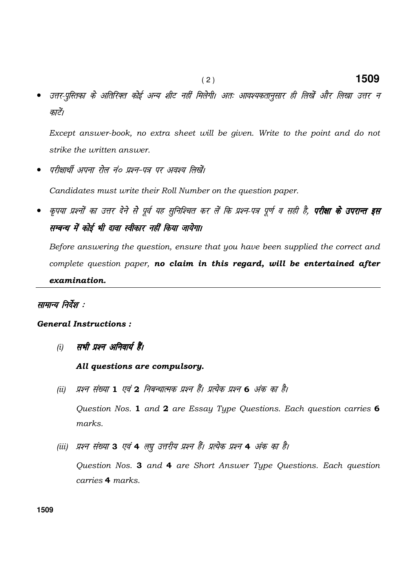उत्तर-पुस्तिका के अतिरिक्त कोई अन्य शीट नहीं मिलेगी। अतः आवश्यकतानुसार ही लिखें और लिखा उत्तर न काटें।

Except answer-book, no extra sheet will be given. Write to the point and do not strike the written answer.

परीक्षार्थी अपना रोल नं० प्रश्न-पत्र पर अवश्य लिखें।

Candidates must write their Roll Number on the question paper.

- कृपया प्रश्नों का उत्तर देने से पूर्व यह सुनिश्चित कर लें कि प्रश्न-पत्र पूर्ण व सही है, **परीक्षा के उपरान्त इस** सम्बन्ध में कोई भी दावा स्वीकार नहीं किया जायेगा।

Before answering the question, ensure that you have been supplied the correct and complete question paper, no claim in this regard, will be entertained after examination.

#### सामान्य निर्देश :

#### General Instructions :

- (i) सभी प्रश्न अनिवार्य हैं।
	- All questions are compulsory.
	- (ii) प्रश्न संख्या 1 एवं 2 निबन्धात्मक प्रश्न हैं। प्रत्येक प्रश्न 6 अंक का है। Question Nos. 1 and 2 are Essay Type Questions. Each question carries 6 marks.
	- (iii) प्रश्न संख्या 3 एवं 4 लघु उत्तरीय प्रश्न हैं। प्रत्येक प्रश्न 4 अंक का है।

 Question Nos. 3 and 4 are Short Answer Type Questions. Each question carries 4 marks.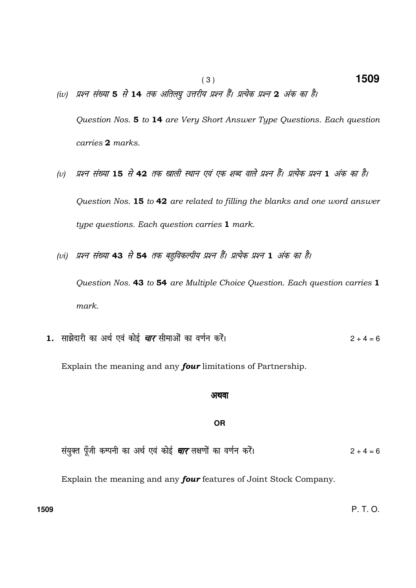- (iv) प्रश्न संख्या 5 से 14 तक अतिल्षु उत्तरीय प्रश्न हैं। प्रत्येक प्रश्न 2 अंक का है। Question Nos. 5 to 14 are Very Short Answer Type Questions. Each question carries 2 marks.
- (v) प्रश्न संख्या 15 से 42 तक खाली स्थान एवं एक शब्द वाले प्रश्न हैं। प्रत्येक प्रश्न 1 अंक का है। Question Nos. 15 to 42 are related to filling the blanks and one word answer type questions. Each question carries 1 mark.
- (vi) प्रश्न संख्या 43 से 54 तक बहविकल्पीय प्रश्न हैं। प्रत्येक प्रश्न 1 अंक का है। Question Nos. 43 to 54 are Multiple Choice Question. Each question carries 1 mark.
- 1. साझेदारी का अर्थ एवं कोई *चार* सीमाओं का वर्णन करें।<br>2 + 4 = 6

Explain the meaning and any **four** limitations of Partnership.

#### अथवा

#### **OR**

la; qDr iw¡th dEiuh dk vFk Z ,o a dksbZ pkj y{k.kks a dk o.k Zu djsaA 2 + 4 = 6

Explain the meaning and any four features of Joint Stock Company.

**1509** P. T. O.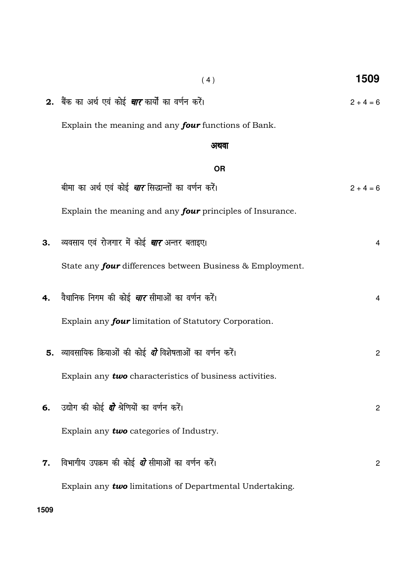|    | 2. बैंक का अर्थ एवं कोई <i>चार</i> कार्यों का वर्णन करें।          | $2 + 4 = 6$    |
|----|--------------------------------------------------------------------|----------------|
|    | Explain the meaning and any <b>four</b> functions of Bank.         |                |
|    | अथवा                                                               |                |
|    | <b>OR</b>                                                          |                |
|    | बीमा का अर्थ एवं कोई <i><b>चार</b> सिद्धान्तों का वर्णन क</i> रें। | $2 + 4 = 6$    |
|    | Explain the meaning and any <b>four</b> principles of Insurance.   |                |
| 3. | व्यवसाय एवं रोजगार में कोई <i>चार</i> अन्तर बताइए।                 | 4              |
|    | State any <b>four</b> differences between Business & Employment.   |                |
| 4. | वैधानिक निगम की कोई <i><b>चार</b></i> सीमाओं का वर्णन करें।        | 4              |
|    | Explain any <b>four</b> limitation of Statutory Corporation.       |                |
|    | 5. व्यावसायिक क्रियाओं की कोई <i>दो</i> विशेषताओं का वर्णन करें।   | $\mathbf{2}$   |
|    | Explain any <b>two</b> characteristics of business activities.     |                |
|    | 6. उद्योग की कोई <i>दो</i> श्रेणियों का वर्णन करें।                | $\overline{c}$ |
|    | Explain any two categories of Industry.                            |                |
| 7. | विभागीय उपक्रम की कोई <i>दो</i> सीमाओं का वर्णन करें।              | $\overline{c}$ |
|    | Explain any two limitations of Departmental Undertaking.           |                |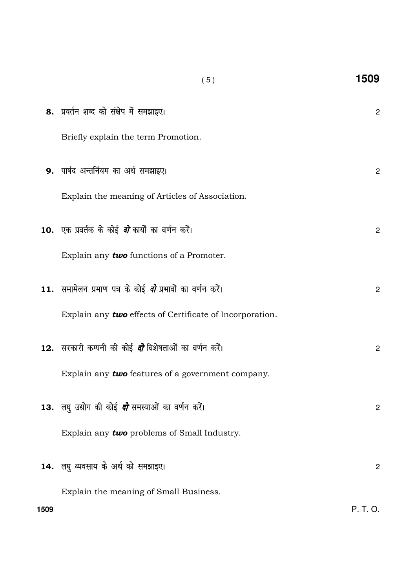|      | (5)                                                              | 1509           |
|------|------------------------------------------------------------------|----------------|
|      | 8. प्रवर्तन शब्द को संक्षेप में समझाइए।                          | $\mathbf 2$    |
|      | Briefly explain the term Promotion.                              |                |
|      | 9. पार्षद अन्तर्नियम का अर्थ समझाइए।                             | $\overline{c}$ |
|      | Explain the meaning of Articles of Association.                  |                |
|      | 10.  एक प्रवर्तक के कोई <i>दो</i> कार्यों का वर्णन करें।         | $\mathbf{2}$   |
|      | Explain any $two$ functions of a Promoter.                       |                |
|      | 11. समामेलन प्रमाण पत्र के कोई <i>दो</i> प्रभावों का वर्णन करें। | $\overline{c}$ |
|      | Explain any two effects of Certificate of Incorporation.         |                |
|      | 12. सरकारी कम्पनी की कोई <i>दो</i> विशेषताओं का वर्णन करें।      | $\overline{c}$ |
|      | Explain any $two$ features of a government company.              |                |
|      | 13. लघु उद्योग की कोई <i>दो</i> समस्याओं का वर्णन करें।          | $\overline{c}$ |
|      | Explain any two problems of Small Industry.                      |                |
|      | 14. लघु व्यवसाय के अर्थ को समझाइए।                               | $\overline{c}$ |
|      | Explain the meaning of Small Business.                           |                |
| 1509 |                                                                  | P. T. O.       |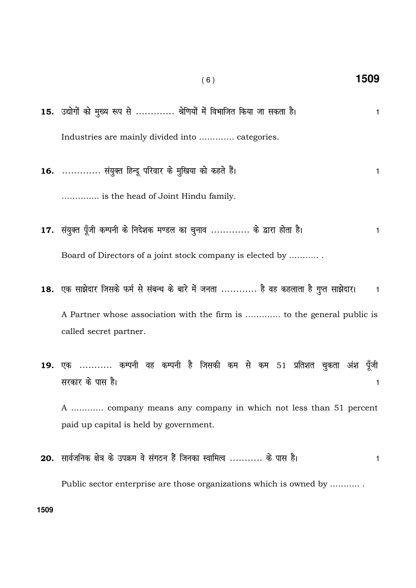- ( 6 ) **1509**
- 15. उद्योगों को मुख्य रूप से ............. श्रेणियों में विभाजित किया जा सकता है। 1 Industries are mainly divided into …………. categories.
- 16. .............. संयुक्त हिन्दू परिवार के मुखिया को कहते हैं। The settlement of the settlement of the set ………….. is the head of Joint Hindu family.
- 17. संयुक्त पूँजी कम्पनी के निदेशक मण्डल का चुनाव ............. के द्वारा होता है। 1 Board of Directors of a joint stock company is elected by ……….. .
- 18. एक साझेदार जिसके फर्म से संबन्ध के बारे में जनता ............ है वह कहलाता है गुप्त साझेदार। व

A Partner whose association with the firm is …………. to the general public is called secret partner.

19. एक ........... कम्पनी वह कम्पनी है जिसकी कम से कम 51 प्रतिशत चुकता अंश पूँजी सरकार के पास है।  $\overline{\phantom{a}}$ 

A ………… company means any company in which not less than 51 percent paid up capital is held by government.

20. lkoZtfud {k s= d s miØe os laxBu gSa ftudk LokfeRo ----------- ds ikl gSA <sup>1</sup> Public sector enterprise are those organizations which is owned by ……….. .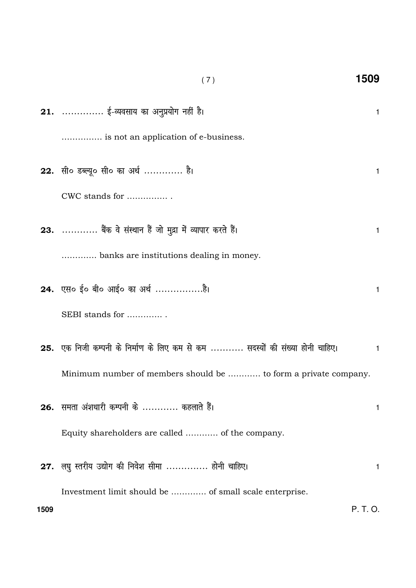|      | (7)                                                                          | 1509         |
|------|------------------------------------------------------------------------------|--------------|
|      | 21.  ई-व्यवसाय का अनुप्रयोग नहीं है।                                         | $\mathbf{1}$ |
|      | is not an application of e-business.                                         |              |
|      | 22. सी० डब्ल्यू० सी० का अर्थ  है।                                            | 1            |
|      | CWC stands for                                                               |              |
|      | 23.  बैंक वे संस्थान हैं जो मुद्रा में व्यापार करते हैं।                     | 1            |
|      | banks are institutions dealing in money.                                     |              |
|      | 24. एस० ई० बी० आई० का अर्थ है।                                               | $\mathbf{1}$ |
|      | SEBI stands for                                                              |              |
|      | 25. एक निजी कम्पनी के निर्माण के लिए कम से कम  सदस्यों की संख्या होनी चाहिए। | 1            |
|      | Minimum number of members should be  to form a private company.              |              |
|      | 26. समता अंशधारी कम्पनी के  कहलाते हैं।                                      | 1            |
|      | Equity shareholders are called  of the company.                              |              |
|      | 27. लघु स्तरीय उद्योग की निवेश सीमा  होनी चाहिए।                             | 1.           |
|      | Investment limit should be  of small scale enterprise.                       |              |
| 1509 |                                                                              | P. T. O.     |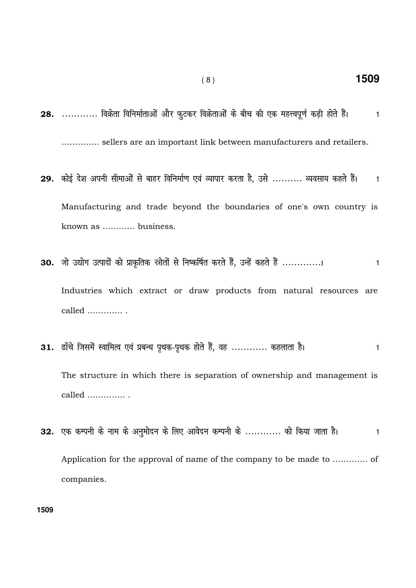- 1509
- 28. ............ विक्रेता विनिर्माताओं और फुटकर विक्रेताओं के बीच की एक महत्त्वपूर्ण कड़ी होते हैं।  $\overline{1}$ .............. sellers are an important link between manufacturers and retailers.

 $(8)$ 

- 29. कोई देश अपनी सीमाओं से बाहर विनिर्माण एवं व्यापार करता है, उसे .......... व्यवसाय कहते हैं।  $\mathbf{1}$ Manufacturing and trade beyond the boundaries of one's own country is known as ............ business.
- 30. जो उद्योग उत्पादों को प्राकृतिक स्रोतों से निष्कर्षित करते हैं, उन्हें कहते हैं ..............  $\mathbf{1}$ Industries which extract or draw products from natural resources are called ..............
- 31. ढाँचे जिसमें स्वामित्व एवं प्रबन्ध पृथक-पृथक होते हैं, वह ............ कहलाता है।  $\mathbf{1}$ The structure in which there is separation of ownership and management is called  $\dots\dots\dots\dots$
- 32. एक कम्पनी के नाम के अनुमोदन के लिए आवेदन कम्पनी के ............ को किया जाता है।  $\mathbf{1}$ Application for the approval of name of the company to be made to .............. of companies.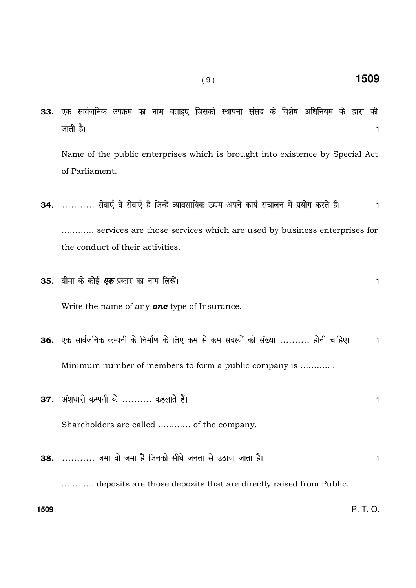- 33. एक सार्वजनिक उपक्रम का नाम बताइए जिसकी स्थापना संसद के विशेष अधिनियम के द्वारा की tkrh gSA <sup>1</sup> Name of the public enterprises which is brought into existence by Special Act of Parliament.
	- 34. ........... सेवाएँ वे सेवाएँ हैं जिन्हें व्यावसायिक उद्यम अपने कार्य संचालन में प्रयोग करते हैं। । । । ………… services are those services which are used by business enterprises for the conduct of their activities.
	- 35. बीमा के कोई *एक* प्रकार का नाम लिखें। स्वास्थ्य का स्वास्थ्य करने के साथ करने के साथ करने के साथ करने वा स् Write the name of any **one** type of Insurance. 36. एक सार्वजनिक कम्पनी के निर्माण के लिए कम से कम सदस्यों की संख्या .......... होनी चाहिए।  $\,$ 1

Minimum number of members to form a public company is ……….. .

 $37.$  अंशधारी कम्पनी के .......... कहलाते हैं। Shareholders are called ………… of the company. 38. ----------- tek ok s tek gSa ftudks lh/ks turk ls mBk;k tkrk gSA <sup>1</sup> ………… deposits are those deposits that are directly raised from Public.

**1509** P. T. O.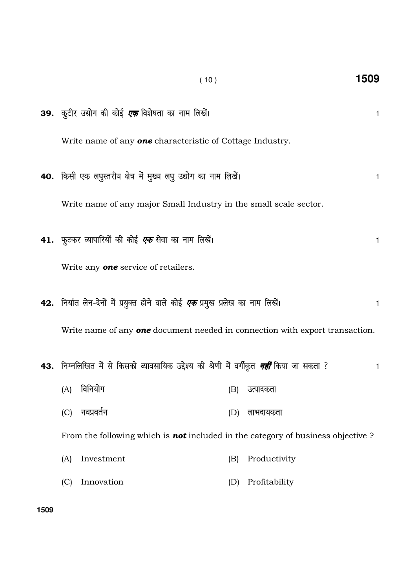|                                                                                     | (10)                                                                                                            |     | 1509          |   |  |
|-------------------------------------------------------------------------------------|-----------------------------------------------------------------------------------------------------------------|-----|---------------|---|--|
|                                                                                     | 39.  कुटीर उद्योग की कोई <i>एक</i> विशेषता का नाम लिखें।                                                        |     |               | 1 |  |
|                                                                                     | Write name of any <b>one</b> characteristic of Cottage Industry.                                                |     |               |   |  |
|                                                                                     | 40. किसी एक लघुस्तरीय क्षेत्र में मुख्य लघु उद्योग का नाम लिखें।                                                |     |               | 1 |  |
|                                                                                     | Write name of any major Small Industry in the small scale sector.                                               |     |               |   |  |
|                                                                                     | 41.  फुटकर व्यापारियों की कोई <i>एक</i> सेवा का नाम लिखें।                                                      |     |               | 1 |  |
|                                                                                     | Write any <b>one</b> service of retailers.                                                                      |     |               |   |  |
|                                                                                     | 42.  निर्यात लेन-देनों में प्रयुक्त होने वाले कोई <i>एक</i> प्रमुख प्रलेख का नाम लिखें।                         |     |               | 1 |  |
| Write name of any <b>one</b> document needed in connection with export transaction. |                                                                                                                 |     |               |   |  |
|                                                                                     | <b>43.</b> निम्नलिखित में से किसको व्यावसायिक उद्देश्य की श्रेणी में वर्गीकृत <i><b>नहीं</b></i> किया जा सकता ? |     |               | 1 |  |
| (A)                                                                                 | विनियोग                                                                                                         | (B) | उत्पादकता     |   |  |
| (C)                                                                                 | नवप्रवर्तन                                                                                                      | (D) | लाभदायकता     |   |  |
|                                                                                     | From the following which is <b>not</b> included in the category of business objective $?$                       |     |               |   |  |
| (A)                                                                                 | Investment                                                                                                      | (B) | Productivity  |   |  |
| (C)                                                                                 | Innovation                                                                                                      | (D) | Profitability |   |  |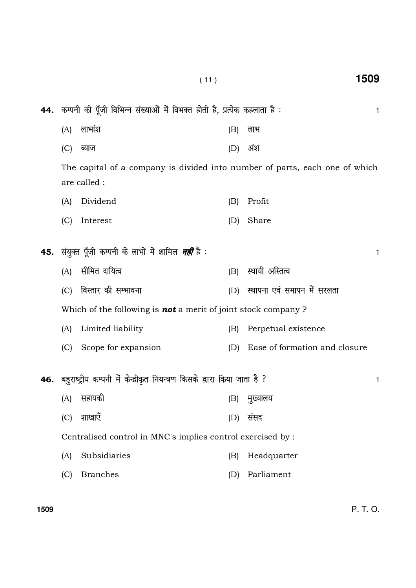|     |                                                                                             | 44. कम्पनी की पूँजी विभिन्न संख्याओं में विभक्त होती है, प्रत्येक कहलाता है : |     | 1                             |  |  |  |  |  |
|-----|---------------------------------------------------------------------------------------------|-------------------------------------------------------------------------------|-----|-------------------------------|--|--|--|--|--|
|     | (A)                                                                                         | लाभांश                                                                        | (B) | लाभ                           |  |  |  |  |  |
|     | (C)                                                                                         | ब्याज                                                                         | (D) | अंश                           |  |  |  |  |  |
|     | The capital of a company is divided into number of parts, each one of which<br>are called : |                                                                               |     |                               |  |  |  |  |  |
|     | (A)                                                                                         | Dividend                                                                      | (B) | Profit                        |  |  |  |  |  |
|     | (C)                                                                                         | Interest                                                                      | (D) | Share                         |  |  |  |  |  |
| 45. |                                                                                             | संयुक्त पूँजी कम्पनी के लाभों में शामिल <i>नहीं</i> है :                      |     | 1                             |  |  |  |  |  |
|     | (A)                                                                                         | सीमित दायित्व                                                                 | (B) | स्थायी अस्तित्व               |  |  |  |  |  |
|     | (C)                                                                                         | विस्तार की सम्भावना                                                           | (D) | स्थापना एवं समापन में सरलता   |  |  |  |  |  |
|     | Which of the following is <b>not</b> a merit of joint stock company?                        |                                                                               |     |                               |  |  |  |  |  |
|     | (A)                                                                                         | Limited liability                                                             | (B) | Perpetual existence           |  |  |  |  |  |
|     | (C)                                                                                         | Scope for expansion                                                           | (D) | Ease of formation and closure |  |  |  |  |  |
| 46. | बहुराष्ट्रीय कम्पनी में केन्द्रीकृत नियन्त्रण किसके द्वारा किया जाता है ?                   |                                                                               |     |                               |  |  |  |  |  |
|     | (A)                                                                                         | सहायकी                                                                        | (B) | मुख्यालय                      |  |  |  |  |  |
|     | (C)                                                                                         | शाखाएँ                                                                        | (D) | संसद                          |  |  |  |  |  |
|     |                                                                                             | Centralised control in MNC's implies control exercised by :                   |     |                               |  |  |  |  |  |
|     | (A)                                                                                         | Subsidiaries                                                                  | (B) | Headquarter                   |  |  |  |  |  |
|     | (C)                                                                                         | <b>Branches</b>                                                               | (D) | Parliament                    |  |  |  |  |  |
|     |                                                                                             |                                                                               |     |                               |  |  |  |  |  |

( 11 ) **1509**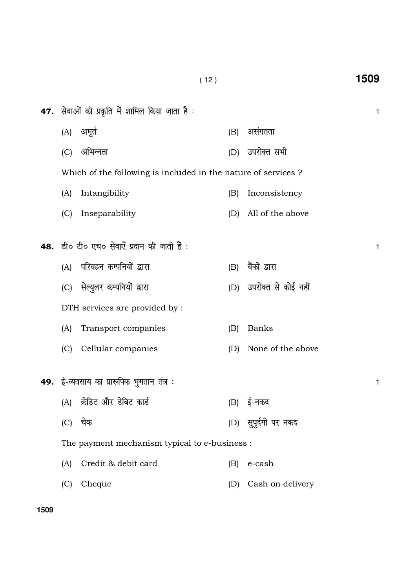| <b>47.</b> सेवाओं की प्रकृति में शामिल किया जाता है : |                                                               |     |                      |              |  |  |
|-------------------------------------------------------|---------------------------------------------------------------|-----|----------------------|--------------|--|--|
|                                                       | (A) अमूर्त                                                    | (B) | असंगतता              |              |  |  |
| (C)                                                   | अभिन्नता                                                      | (D) | उपरोक्त सभी          |              |  |  |
|                                                       | Which of the following is included in the nature of services? |     |                      |              |  |  |
| (A)                                                   | Intangibility                                                 | (B) | Inconsistency        |              |  |  |
| (C)                                                   | Inseparability                                                | (D) | All of the above     |              |  |  |
|                                                       |                                                               |     |                      |              |  |  |
|                                                       | 48. डी० टी० एच० सेवाएँ प्रदान की जाती हैं :                   |     |                      | $\mathbf{1}$ |  |  |
| (A)                                                   | परिवहन कम्पनियों द्वारा                                       | (B) | बैंकों द्वारा        |              |  |  |
|                                                       | (C) सेल्युलर कम्पनियों द्वारा                                 | (D) | उपरोक्त से कोई नहीं  |              |  |  |
| DTH services are provided by :                        |                                                               |     |                      |              |  |  |
| (A)                                                   | Transport companies                                           | (B) | <b>Banks</b>         |              |  |  |
| (C)                                                   | Cellular companies                                            | (D) | None of the above    |              |  |  |
|                                                       |                                                               |     |                      |              |  |  |
|                                                       | 49. ई-व्यवसाय का प्रारूपिक भुगतान तंत्र :                     |     |                      | 1            |  |  |
|                                                       | (A) क्रेडिट और डेबिट कार्ड                                    | (B) | ई-नकद                |              |  |  |
| (C)                                                   | चेक                                                           |     | (D) सुपूर्दगी पर नकद |              |  |  |
|                                                       | The payment mechanism typical to e-business :                 |     |                      |              |  |  |
| (A)                                                   | Credit & debit card                                           | (B) | e-cash               |              |  |  |
| (C)                                                   | Cheque                                                        | (D) | Cash on delivery     |              |  |  |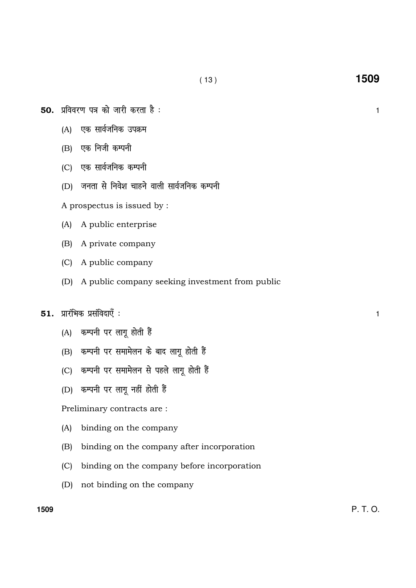- $50.$  प्रविवरण पत्र को जारी करता है :  $\frac{1}{1}$ 
	- (A) एक सार्वजनिक उपक्रम
	- $(B)$  एक निजी कम्पनी
	- (C) एक सार्वजनिक कम्पनी
	- $(D)$  जनता से निवेश चाहने वाली सार्वजनिक कम्पनी

A prospectus is issued by :

- (A) A public enterprise
- (B) A private company
- (C) A public company
- (D) A public company seeking investment from public

## $51.$  प्रारंभिक प्रसंविदाएँ :  $1$

- (A) कम्पनी पर लागू होती हैं
- (B) कम्पनी पर समामेलन के बाद लागू होती हैं
- (C) कम्पनी पर समामेलन से पहले लागू होती हैं
- (D) कम्पनी पर लागू नहीं होती हैं

Preliminary contracts are :

- (A) binding on the company
- (B) binding on the company after incorporation
- (C) binding on the company before incorporation
- (D) not binding on the company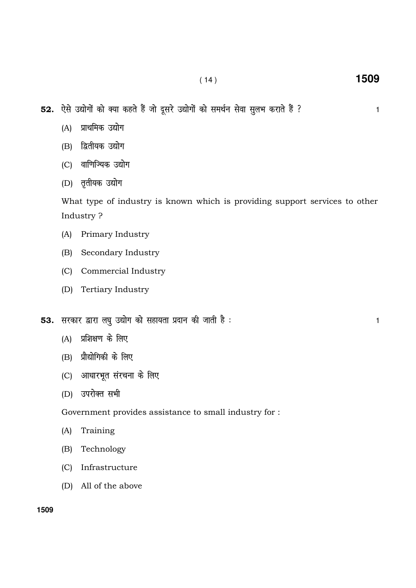52. ऐसे उद्योगों को क्या कहते हैं जो दूसरे उद्योगों को समर्थन सेवा सुलभ कराते हैं ? बाक कर साल कर साल कर सा

- (A) प्राथमिक उद्योग
- (B) द्वितीयक उद्योग
- (C) वाणिज्यिक उद्योग
- (D) तृतीयक उद्योग

What type of industry is known which is providing support services to other Industry ?

- (A) Primary Industry
- (B) Secondary Industry
- (C) Commercial Industry
- (D) Tertiary Industry
- 53. ljdkj }kjk y?k q m|ksx dks lgk;rk iznku dh tkrh gS % <sup>1</sup>
	- $(A)$  प्रशिक्षण के लिए
	- $(B)$  प्रौद्योगिकी के लिए
	- (C) आधारभूत संरचना के लिए
	- (D) उपरोक्त सभी

Government provides assistance to small industry for :

- (A) Training
- (B) Technology
- (C) Infrastructure
- (D) All of the above